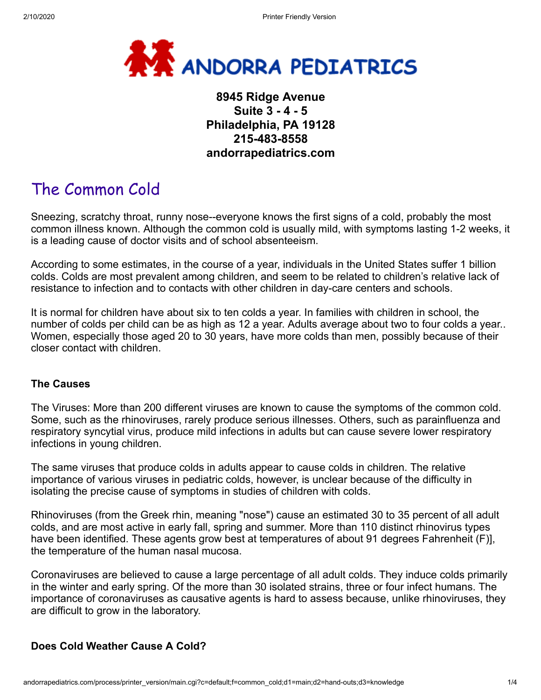

# **8945 Ridge Avenue Suite 3 - 4 - 5 Philadelphia, PA 19128 215-483-8558 andorrapediatrics.com**

# The Common Cold

Sneezing, scratchy throat, runny nose--everyone knows the first signs of a cold, probably the most common illness known. Although the common cold is usually mild, with symptoms lasting 1-2 weeks, it is a leading cause of doctor visits and of school absenteeism.

According to some estimates, in the course of a year, individuals in the United States suffer 1 billion colds. Colds are most prevalent among children, and seem to be related to children's relative lack of resistance to infection and to contacts with other children in day-care centers and schools.

It is normal for children have about six to ten colds a year. In families with children in school, the number of colds per child can be as high as 12 a year. Adults average about two to four colds a year.. Women, especially those aged 20 to 30 years, have more colds than men, possibly because of their closer contact with children.

#### **The Causes**

The Viruses: More than 200 different viruses are known to cause the symptoms of the common cold. Some, such as the rhinoviruses, rarely produce serious illnesses. Others, such as parainfluenza and respiratory syncytial virus, produce mild infections in adults but can cause severe lower respiratory infections in young children.

The same viruses that produce colds in adults appear to cause colds in children. The relative importance of various viruses in pediatric colds, however, is unclear because of the difficulty in isolating the precise cause of symptoms in studies of children with colds.

Rhinoviruses (from the Greek rhin, meaning "nose") cause an estimated 30 to 35 percent of all adult colds, and are most active in early fall, spring and summer. More than 110 distinct rhinovirus types have been identified. These agents grow best at temperatures of about 91 degrees Fahrenheit (F)], the temperature of the human nasal mucosa.

Coronaviruses are believed to cause a large percentage of all adult colds. They induce colds primarily in the winter and early spring. Of the more than 30 isolated strains, three or four infect humans. The importance of coronaviruses as causative agents is hard to assess because, unlike rhinoviruses, they are difficult to grow in the laboratory.

#### **Does Cold Weather Cause A Cold?**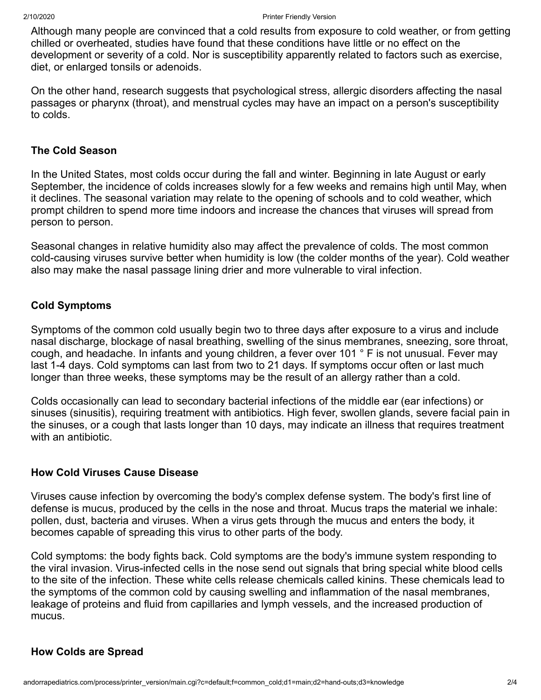Although many people are convinced that a cold results from exposure to cold weather, or from getting chilled or overheated, studies have found that these conditions have little or no effect on the development or severity of a cold. Nor is susceptibility apparently related to factors such as exercise, diet, or enlarged tonsils or adenoids.

On the other hand, research suggests that psychological stress, allergic disorders affecting the nasal passages or pharynx (throat), and menstrual cycles may have an impact on a person's susceptibility to colds.

#### **The Cold Season**

In the United States, most colds occur during the fall and winter. Beginning in late August or early September, the incidence of colds increases slowly for a few weeks and remains high until May, when it declines. The seasonal variation may relate to the opening of schools and to cold weather, which prompt children to spend more time indoors and increase the chances that viruses will spread from person to person.

Seasonal changes in relative humidity also may affect the prevalence of colds. The most common cold-causing viruses survive better when humidity is low (the colder months of the year). Cold weather also may make the nasal passage lining drier and more vulnerable to viral infection.

#### **Cold Symptoms**

Symptoms of the common cold usually begin two to three days after exposure to a virus and include nasal discharge, blockage of nasal breathing, swelling of the sinus membranes, sneezing, sore throat, cough, and headache. In infants and young children, a fever over 101 ° F is not unusual. Fever may last 1-4 days. Cold symptoms can last from two to 21 days. If symptoms occur often or last much longer than three weeks, these symptoms may be the result of an allergy rather than a cold.

Colds occasionally can lead to secondary bacterial infections of the middle ear (ear infections) or sinuses (sinusitis), requiring treatment with antibiotics. High fever, swollen glands, severe facial pain in the sinuses, or a cough that lasts longer than 10 days, may indicate an illness that requires treatment with an antibiotic.

#### **How Cold Viruses Cause Disease**

Viruses cause infection by overcoming the body's complex defense system. The body's first line of defense is mucus, produced by the cells in the nose and throat. Mucus traps the material we inhale: pollen, dust, bacteria and viruses. When a virus gets through the mucus and enters the body, it becomes capable of spreading this virus to other parts of the body.

Cold symptoms: the body fights back. Cold symptoms are the body's immune system responding to the viral invasion. Virus-infected cells in the nose send out signals that bring special white blood cells to the site of the infection. These white cells release chemicals called kinins. These chemicals lead to the symptoms of the common cold by causing swelling and inflammation of the nasal membranes, leakage of proteins and fluid from capillaries and lymph vessels, and the increased production of mucus.

#### **How Colds are Spread**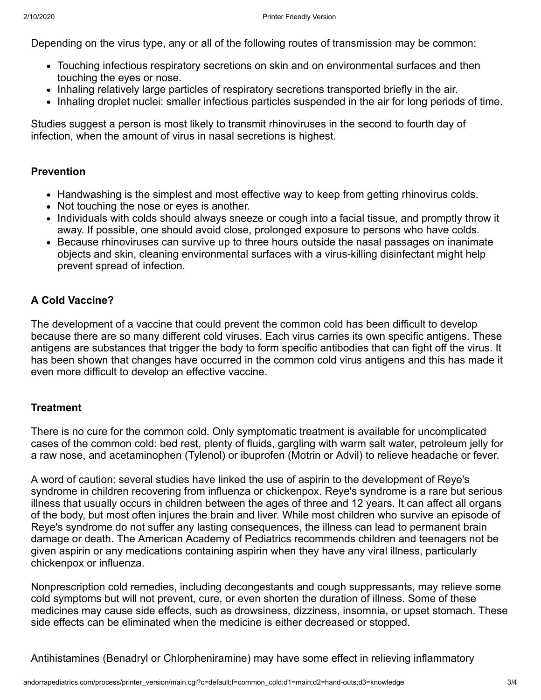Depending on the virus type, any or all of the following routes of transmission may be common:

- Touching infectious respiratory secretions on skin and on environmental surfaces and then touching the eyes or nose.
- Inhaling relatively large particles of respiratory secretions transported briefly in the air.
- Inhaling droplet nuclei: smaller infectious particles suspended in the air for long periods of time.

Studies suggest a person is most likely to transmit rhinoviruses in the second to fourth day of infection, when the amount of virus in nasal secretions is highest.

### **Prevention**

- Handwashing is the simplest and most effective way to keep from getting rhinovirus colds.
- Not touching the nose or eyes is another.
- Individuals with colds should always sneeze or cough into a facial tissue, and promptly throw it away. If possible, one should avoid close, prolonged exposure to persons who have colds.
- Because rhinoviruses can survive up to three hours outside the nasal passages on inanimate objects and skin, cleaning environmental surfaces with a virus-killing disinfectant might help prevent spread of infection.

# **A Cold Vaccine?**

The development of a vaccine that could prevent the common cold has been difficult to develop because there are so many different cold viruses. Each virus carries its own specific antigens. These antigens are substances that trigger the body to form specific antibodies that can fight off the virus. It has been shown that changes have occurred in the common cold virus antigens and this has made it even more difficult to develop an effective vaccine.

## **Treatment**

There is no cure for the common cold. Only symptomatic treatment is available for uncomplicated cases of the common cold: bed rest, plenty of fluids, gargling with warm salt water, petroleum jelly for a raw nose, and acetaminophen (Tylenol) or ibuprofen (Motrin or Advil) to relieve headache or fever.

A word of caution: several studies have linked the use of aspirin to the development of Reye's syndrome in children recovering from influenza or chickenpox. Reye's syndrome is a rare but serious illness that usually occurs in children between the ages of three and 12 years. It can affect all organs of the body, but most often injures the brain and liver. While most children who survive an episode of Reye's syndrome do not suffer any lasting consequences, the illness can lead to permanent brain damage or death. The American Academy of Pediatrics recommends children and teenagers not be given aspirin or any medications containing aspirin when they have any viral illness, particularly chickenpox or influenza.

Nonprescription cold remedies, including decongestants and cough suppressants, may relieve some cold symptoms but will not prevent, cure, or even shorten the duration of illness. Some of these medicines may cause side effects, such as drowsiness, dizziness, insomnia, or upset stomach. These side effects can be eliminated when the medicine is either decreased or stopped.

Antihistamines (Benadryl or Chlorpheniramine) may have some effect in relieving inflammatory